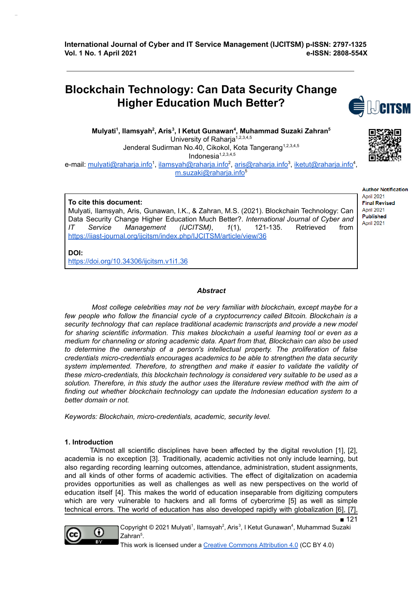# **Blockchain Technology: Can Data Security Change Higher Education Much Better?**

**Mulyati 1 , Ilamsyah 2 , Aris 3 , I Ketut Gunawan 4 , Muhammad Suzaki Zahran 5** University of Raharja<sup>1,2,3,4,5</sup> Jenderal Sudirman No.40, Cikokol, Kota Tangerang<sup>1,2,3,4,5</sup> Indonesia 1,2,3,4,5 e-mail: mulyati@raharja.info<sup>1</sup>, <u>ilamsyah@raharja.info</u><sup>2</sup>, <u>aris@raharja.info</u><sup>3</sup>, <u>iketut@raharja.info</u><sup>4</sup>, m.suzaki@raharja.info<sup>5</sup>

#### **To cite this document:**

Mulyati, Ilamsyah, Aris, Gunawan, I.K., & Zahran, M.S. (2021). Blockchain Technology: Can Data Security Change Higher Education Much Better?. *International Journal of Cyber and IT Service Management (IJCITSM)*, *1*(1), 121-135. Retrieved from https://iiast-journal.org/ijcitsm/index.php/IJCITSM/article/view/36

**DOI:**

https://doi.org/10.34306/ijcitsm.v1i1.36

#### *Abstract*

*Most college celebrities may not be very familiar with blockchain, except maybe for a few people who follow the financial cycle of a cryptocurrency called Bitcoin. Blockchain is a security technology that can replace traditional academic transcripts and provide a new model for sharing scientific information. This makes blockchain a useful learning tool or even as a medium for channeling or storing academic data. Apart from that, Blockchain can also be used to determine the ownership of a person's intellectual property. The proliferation of false credentials micro-credentials encourages academics to be able to strengthen the data security system implemented. Therefore, to strengthen and make it easier to validate the validity of these micro-credentials, this blockchain technology is considered very suitable to be used as a solution. Therefore, in this study the author uses the literature review method with the aim of finding out whether blockchain technology can update the Indonesian education system to a better domain or not.*

*Keywords: Blockchain, micro-credentials, academic, security level.*

#### **1. Introduction**

TAlmost all scientific disciplines have been affected by the digital revolution [1], [2], academia is no exception [3]. Traditionally, academic activities not only include learning, but also regarding recording learning outcomes, attendance, administration, student assignments, and all kinds of other forms of academic activities. The effect of digitalization on academia provides opportunities as well as challenges as well as new perspectives on the world of education itself [4]. This makes the world of education inseparable from digitizing computers which are very vulnerable to hackers and all forms of cybercrime [5] as well as simple technical errors. The world of education has also developed rapidly with globalization [6], [7],



Copyright © 2021 Mulyati<sup>1</sup>, Ilamsyah<sup>2</sup>, Aris<sup>3</sup>, I Ketut Gunawan<sup>4</sup>, Muhammad Suzaki Zahran<sup>5</sup>.

This work is licensed under a Creative Commons Attribution 4.0 (CC BY 4.0)





**Author Notification** April 2021 **Final Revised** April 2021 **Published** April 2021

■ 121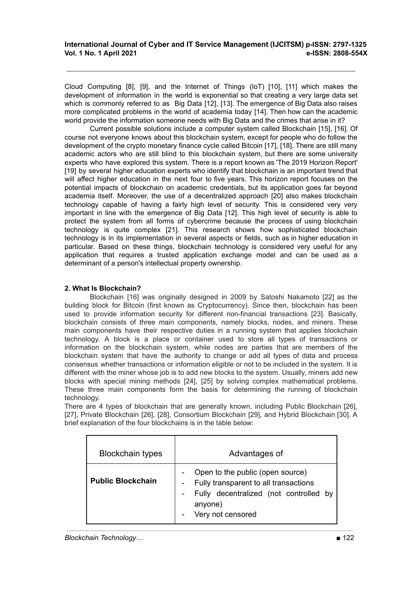Cloud Computing [8], [9], and the Internet of Things (IoT) [10], [11] which makes the development of information in the world is exponential so that creating a very large data set which is commonly referred to as Big Data [12], [13]. The emergence of Big Data also raises more complicated problems in the world of academia today [14]. Then how can the academic world provide the information someone needs with Big Data and the crimes that arise in it?

Current possible solutions include a computer system called Blockchain [15], [16]. Of course not everyone knows about this blockchain system, except for people who do follow the development of the crypto monetary finance cycle called Bitcoin [17], [18]. There are still many academic actors who are still blind to this blockchain system, but there are some university experts who have explored this system. There is a report known as 'The 2019 Horizon Report' [19] by several higher education experts who identify that blockchain is an important trend that will affect higher education in the next four to five years. This horizon report focuses on the potential impacts of blockchain on academic credentials, but its application goes far beyond academia itself. Moreover, the use of a decentralized approach [20] also makes blockchain technology capable of having a fairly high level of security. This is considered very very important in line with the emergence of Big Data [12]. This high level of security is able to protect the system from all forms of cybercrime because the process of using blockchain technology is quite complex [21]. This research shows how sophisticated blockchain technology is in its implementation in several aspects or fields, such as in higher education in particular. Based on these things, blockchain technology is considered very useful for any application that requires a trusted application exchange model and can be used as a determinant of a person's intellectual property ownership.

# **2. What Is Blockchain?**

Blockchain [16] was originally designed in 2009 by Satoshi Nakamoto [22] as the building block for Bitcoin (first known as Cryptocurrency). Since then, blockchain has been used to provide information security for different non-financial transactions [23]. Basically, blockchain consists of three main components, namely blocks, nodes, and miners. These main components have their respective duties in a running system that applies blockchain technology. A block is a place or container used to store all types of transactions or information on the blockchain system, while nodes are parties that are members of the blockchain system that have the authority to change or add all types of data and process consensus whether transactions or information eligible or not to be included in the system. It is different with the miner whose job is to add new blocks to the system. Usually, miners add new blocks with special mining methods [24], [25] by solving complex mathematical problems. These three main components form the basis for determining the running of blockchain technology.

There are 4 types of blockchain that are generally known, including Public Blockchain [26], [27], Private Blockchain [26], [28], Consortium Blockchain [29], and Hybrid Blockchain [30]. A brief explanation of the four blockchains is in the table below:

| <b>Blockchain types</b>  | Advantages of                                                                                                                                       |
|--------------------------|-----------------------------------------------------------------------------------------------------------------------------------------------------|
| <b>Public Blockchain</b> | Open to the public (open source)<br>Fully transparent to all transactions<br>Fully decentralized (not controlled by<br>anyone)<br>Very not censored |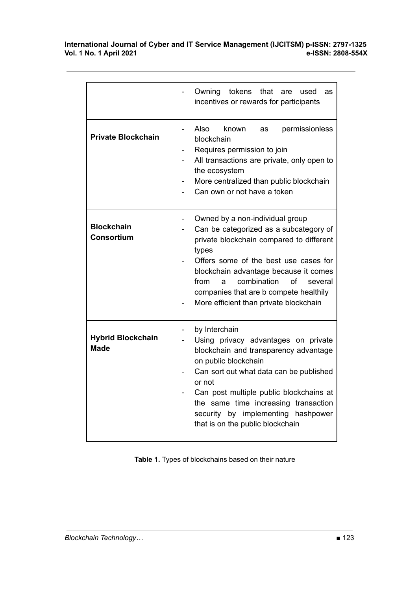|                                         | Owning<br>tokens<br>that are<br>used<br>as<br>incentives or rewards for participants                                                                                                                                                                                                                                                              |
|-----------------------------------------|---------------------------------------------------------------------------------------------------------------------------------------------------------------------------------------------------------------------------------------------------------------------------------------------------------------------------------------------------|
| <b>Private Blockchain</b>               | Also<br>permissionless<br>known<br>as<br>blockchain<br>Requires permission to join<br>All transactions are private, only open to<br>the ecosystem<br>More centralized than public blockchain<br>Can own or not have a token                                                                                                                       |
| <b>Blockchain</b><br><b>Consortium</b>  | Owned by a non-individual group<br>Can be categorized as a subcategory of<br>private blockchain compared to different<br>types<br>Offers some of the best use cases for<br>blockchain advantage because it comes<br>combination<br>of<br>from<br>several<br>a<br>companies that are b compete healthily<br>More efficient than private blockchain |
| <b>Hybrid Blockchain</b><br><b>Made</b> | by Interchain<br>Using privacy advantages on private<br>blockchain and transparency advantage<br>on public blockchain<br>Can sort out what data can be published<br>or not<br>Can post multiple public blockchains at<br>the same time increasing transaction<br>security by implementing hashpower<br>that is on the public blockchain           |

**Table 1.** Types of blockchains based on their nature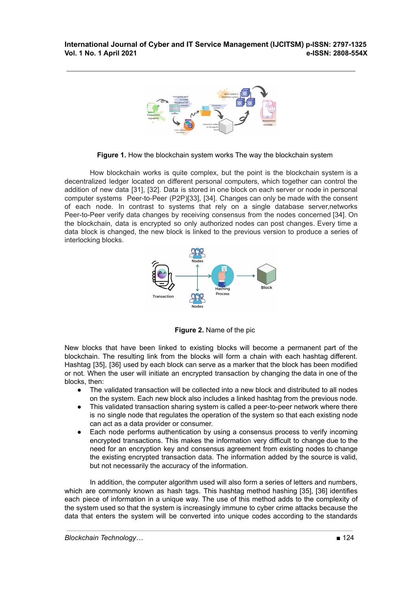

**Figure 1.** How the blockchain system works The way the blockchain system

How blockchain works is quite complex, but the point is the blockchain system is a decentralized ledger located on different personal computers, which together can control the addition of new data [31], [32]. Data is stored in one block on each server or node in personal computer systems Peer-to-Peer (P2P)[33], [34]. Changes can only be made with the consent of each node. In contrast to systems that rely on a single database server,networks Peer-to-Peer verify data changes by receiving consensus from the nodes concerned [34]. On the blockchain, data is encrypted so only authorized nodes can post changes. Every time a data block is changed, the new block is linked to the previous version to produce a series of interlocking blocks.



**Figure 2.** Name of the pic

New blocks that have been linked to existing blocks will become a permanent part of the blockchain. The resulting link from the blocks will form a chain with each hashtag different. Hashtag [35], [36] used by each block can serve as a marker that the block has been modified or not. When the user will initiate an encrypted transaction by changing the data in one of the blocks, then:

- The validated transaction will be collected into a new block and distributed to all nodes on the system. Each new block also includes a linked hashtag from the previous node.
- This validated transaction sharing system is called a peer-to-peer network where there is no single node that regulates the operation of the system so that each existing node can act as a data provider or consumer.
- Each node performs authentication by using a consensus process to verify incoming encrypted transactions. This makes the information very difficult to change due to the need for an encryption key and consensus agreement from existing nodes to change the existing encrypted transaction data. The information added by the source is valid, but not necessarily the accuracy of the information.

In addition, the computer algorithm used will also form a series of letters and numbers, which are commonly known as hash tags. This hashtag method hashing [35], [36] identifies each piece of information in a unique way. The use of this method adds to the complexity of the system used so that the system is increasingly immune to cyber crime attacks because the data that enters the system will be converted into unique codes according to the standards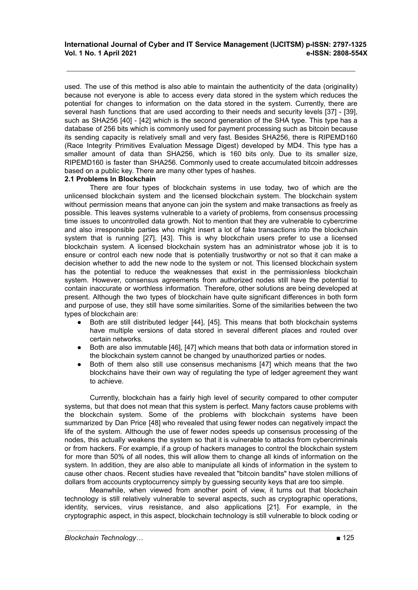used. The use of this method is also able to maintain the authenticity of the data (originality) because not everyone is able to access every data stored in the system which reduces the potential for changes to information on the data stored in the system. Currently, there are several hash functions that are used according to their needs and security levels [37] - [39], such as SHA256 [40] - [42] which is the second generation of the SHA type. This type has a database of 256 bits which is commonly used for payment processing such as bitcoin because its sending capacity is relatively small and very fast. Besides SHA256, there is RIPEMD160 (Race Integrity Primitives Evaluation Message Digest) developed by MD4. This type has a smaller amount of data than SHA256, which is 160 bits only. Due to its smaller size, RIPEMD160 is faster than SHA256. Commonly used to create accumulated bitcoin addresses based on a public key. There are many other types of hashes.

#### **2.1 Problems In Blockchain**

There are four types of blockchain systems in use today, two of which are the unlicensed blockchain system and the licensed blockchain system. The blockchain system without permission means that anyone can join the system and make transactions as freely as possible. This leaves systems vulnerable to a variety of problems, from consensus processing time issues to uncontrolled data growth. Not to mention that they are vulnerable to cybercrime and also irresponsible parties who might insert a lot of fake transactions into the blockchain system that is running [27], [43]. This is why blockchain users prefer to use a licensed blockchain system. A licensed blockchain system has an administrator whose job it is to ensure or control each new node that is potentially trustworthy or not so that it can make a decision whether to add the new node to the system or not. This licensed blockchain system has the potential to reduce the weaknesses that exist in the permissionless blockchain system. However, consensus agreements from authorized nodes still have the potential to contain inaccurate or worthless information. Therefore, other solutions are being developed at present. Although the two types of blockchain have quite significant differences in both form and purpose of use, they still have some similarities. Some of the similarities between the two types of blockchain are:

- Both are still distributed ledger [44], [45]. This means that both blockchain systems have multiple versions of data stored in several different places and routed over certain networks.
- Both are also immutable [46], [47] which means that both data or information stored in the blockchain system cannot be changed by unauthorized parties or nodes.
- Both of them also still use consensus mechanisms [47] which means that the two blockchains have their own way of regulating the type of ledger agreement they want to achieve.

Currently, blockchain has a fairly high level of security compared to other computer systems, but that does not mean that this system is perfect. Many factors cause problems with the blockchain system. Some of the problems with blockchain systems have been summarized by Dan Price [48] who revealed that using fewer nodes can negatively impact the life of the system. Although the use of fewer nodes speeds up consensus processing of the nodes, this actually weakens the system so that it is vulnerable to attacks from cybercriminals or from hackers. For example, if a group of hackers manages to control the blockchain system for more than 50% of all nodes, this will allow them to change all kinds of information on the system. In addition, they are also able to manipulate all kinds of information in the system to cause other chaos. Recent studies have revealed that "bitcoin bandits" have stolen millions of dollars from accounts cryptocurrency simply by guessing security keys that are too simple.

Meanwhile, when viewed from another point of view, it turns out that blockchain technology is still relatively vulnerable to several aspects, such as cryptographic operations, identity, services, virus resistance, and also applications [21]. For example, in the cryptographic aspect, in this aspect, blockchain technology is still vulnerable to block coding or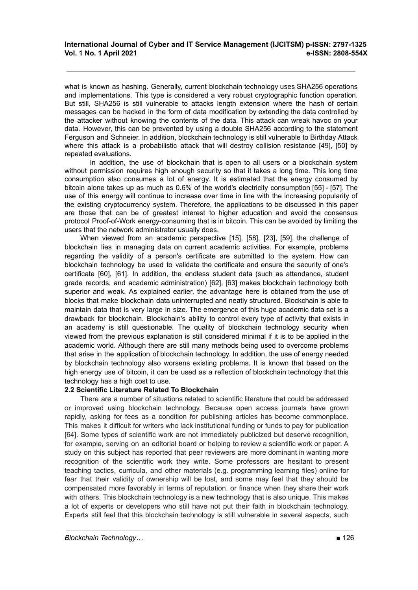what is known as hashing. Generally, current blockchain technology uses SHA256 operations and implementations. This type is considered a very robust cryptographic function operation. But still, SHA256 is still vulnerable to attacks length extension where the hash of certain messages can be hacked in the form of data modification by extending the data controlled by the attacker without knowing the contents of the data. This attack can wreak havoc on your data. However, this can be prevented by using a double SHA256 according to the statement Ferguson and Schneier. In addition, blockchain technology is still vulnerable to Birthday Attack where this attack is a probabilistic attack that will destroy collision resistance [49], [50] by repeated evaluations.

In addition, the use of blockchain that is open to all users or a blockchain system without permission requires high enough security so that it takes a long time. This long time consumption also consumes a lot of energy. It is estimated that the energy consumed by bitcoin alone takes up as much as 0.6% of the world's electricity consumption [55] - [57]. The use of this energy will continue to increase over time in line with the increasing popularity of the existing cryptocurrency system. Therefore, the applications to be discussed in this paper are those that can be of greatest interest to higher education and avoid the consensus protocol Proof-of-Work energy-consuming that is in bitcoin. This can be avoided by limiting the users that the network administrator usually does.

When viewed from an academic perspective [15], [58], [23], [59], the challenge of blockchain lies in managing data on current academic activities. For example, problems regarding the validity of a person's certificate are submitted to the system. How can blockchain technology be used to validate the certificate and ensure the security of one's certificate [60], [61]. In addition, the endless student data (such as attendance, student grade records, and academic administration) [62], [63] makes blockchain technology both superior and weak. As explained earlier, the advantage here is obtained from the use of blocks that make blockchain data uninterrupted and neatly structured. Blockchain is able to maintain data that is very large in size. The emergence of this huge academic data set is a drawback for blockchain. Blockchain's ability to control every type of activity that exists in an academy is still questionable. The quality of blockchain technology security when viewed from the previous explanation is still considered minimal if it is to be applied in the academic world. Although there are still many methods being used to overcome problems that arise in the application of blockchain technology. In addition, the use of energy needed by blockchain technology also worsens existing problems. It is known that based on the high energy use of bitcoin, it can be used as a reflection of blockchain technology that this technology has a high cost to use.

## **2.2 Scientific Literature Related To Blockchain**

There are a number of situations related to scientific literature that could be addressed or improved using blockchain technology. Because open access journals have grown rapidly, asking for fees as a condition for publishing articles has become commonplace. This makes it difficult for writers who lack institutional funding or funds to pay for publication [64]. Some types of scientific work are not immediately publicized but deserve recognition, for example, serving on an editorial board or helping to review a scientific work or paper. A study on this subject has reported that peer reviewers are more dominant in wanting more recognition of the scientific work they write. Some professors are hesitant to present teaching tactics, curricula, and other materials (e.g. programming learning files) online for fear that their validity of ownership will be lost, and some may feel that they should be compensated more favorably in terms of reputation. or finance when they share their work with others. This blockchain technology is a new technology that is also unique. This makes a lot of experts or developers who still have not put their faith in blockchain technology. Experts still feel that this blockchain technology is still vulnerable in several aspects, such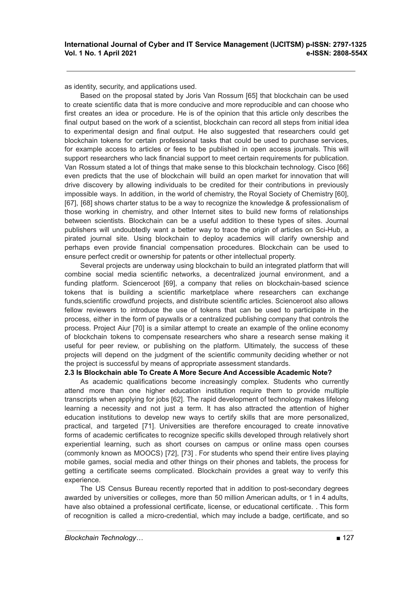as identity, security, and applications used.

Based on the proposal stated by Joris Van Rossum [65] that blockchain can be used to create scientific data that is more conducive and more reproducible and can choose who first creates an idea or procedure. He is of the opinion that this article only describes the final output based on the work of a scientist, blockchain can record all steps from initial idea to experimental design and final output. He also suggested that researchers could get blockchain tokens for certain professional tasks that could be used to purchase services, for example access to articles or fees to be published in open access journals. This will support researchers who lack financial support to meet certain requirements for publication. Van Rossum stated a lot of things that make sense to this blockchain technology. Cisco [66] even predicts that the use of blockchain will build an open market for innovation that will drive discovery by allowing individuals to be credited for their contributions in previously impossible ways. In addition, in the world of chemistry, the Royal Society of Chemistry [60], [67], [68] shows charter status to be a way to recognize the knowledge & professionalism of those working in chemistry, and other Internet sites to build new forms of relationships between scientists. Blockchain can be a useful addition to these types of sites. Journal publishers will undoubtedly want a better way to trace the origin of articles on Sci-Hub, a pirated journal site. Using blockchain to deploy academics will clarify ownership and perhaps even provide financial compensation procedures. Blockchain can be used to ensure perfect credit or ownership for patents or other intellectual property.

Several projects are underway using blockchain to build an integrated platform that will combine social media scientific networks, a decentralized journal environment, and a funding platform. Scienceroot [69], a company that relies on blockchain-based science tokens that is building a scientific marketplace where researchers can exchange funds,scientific crowdfund projects, and distribute scientific articles. Scienceroot also allows fellow reviewers to introduce the use of tokens that can be used to participate in the process, either in the form of paywalls or a centralized publishing company that controls the process. Project Aiur [70] is a similar attempt to create an example of the online economy of blockchain tokens to compensate researchers who share a research sense making it useful for peer review, or publishing on the platform. Ultimately, the success of these projects will depend on the judgment of the scientific community deciding whether or not the project is successful by means of appropriate assessment standards.

#### **2.3 Is Blockchain able To Create A More Secure And Accessible Academic Note?**

As academic qualifications become increasingly complex. Students who currently attend more than one higher education institution require them to provide multiple transcripts when applying for jobs [62]. The rapid development of technology makes lifelong learning a necessity and not just a term. It has also attracted the attention of higher education institutions to develop new ways to certify skills that are more personalized, practical, and targeted [71]. Universities are therefore encouraged to create innovative forms of academic certificates to recognize specific skills developed through relatively short experiential learning, such as short courses on campus or online mass open courses (commonly known as MOOCS) [72], [73] . For students who spend their entire lives playing mobile games, social media and other things on their phones and tablets, the process for getting a certificate seems complicated. Blockchain provides a great way to verify this experience.

The US Census Bureau recently reported that in addition to post-secondary degrees awarded by universities or colleges, more than 50 million American adults, or 1 in 4 adults, have also obtained a professional certificate, license, or educational certificate. . This form of recognition is called a micro-credential, which may include a badge, certificate, and so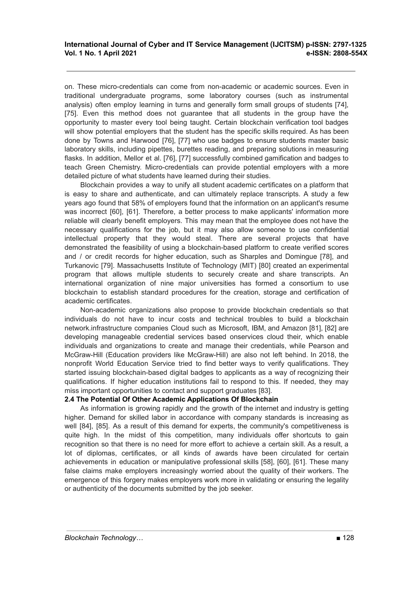on. These micro-credentials can come from non-academic or academic sources. Even in traditional undergraduate programs, some laboratory courses (such as instrumental analysis) often employ learning in turns and generally form small groups of students [74], [75]. Even this method does not guarantee that all students in the group have the opportunity to master every tool being taught. Certain blockchain verification tool badges will show potential employers that the student has the specific skills required. As has been done by Towns and Harwood [76], [77] who use badges to ensure students master basic laboratory skills, including pipettes, burettes reading, and preparing solutions in measuring flasks. In addition, Mellor et al. [76], [77] successfully combined gamification and badges to teach Green Chemistry. Micro-credentials can provide potential employers with a more detailed picture of what students have learned during their studies.

Blockchain provides a way to unify all student academic certificates on a platform that is easy to share and authenticate, and can ultimately replace transcripts. A study a few years ago found that 58% of employers found that the information on an applicant's resume was incorrect [60], [61]. Therefore, a better process to make applicants' information more reliable will clearly benefit employers. This may mean that the employee does not have the necessary qualifications for the job, but it may also allow someone to use confidential intellectual property that they would steal. There are several projects that have demonstrated the feasibility of using a blockchain-based platform to create verified scores and / or credit records for higher education, such as Sharples and Domingue [78], and Turkanovic [79]. Massachusetts Institute of Technology (MIT) [80] created an experimental program that allows multiple students to securely create and share transcripts. An international organization of nine major universities has formed a consortium to use blockchain to establish standard procedures for the creation, storage and certification of academic certificates.

Non-academic organizations also propose to provide blockchain credentials so that individuals do not have to incur costs and technical troubles to build a blockchain network.infrastructure companies Cloud such as Microsoft, IBM, and Amazon [81], [82] are developing manageable credential services based onservices cloud their, which enable individuals and organizations to create and manage their credentials, while Pearson and McGraw-Hill (Education providers like McGraw-Hill) are also not left behind. In 2018, the nonprofit World Education Service tried to find better ways to verify qualifications. They started issuing blockchain-based digital badges to applicants as a way of recognizing their qualifications. If higher education institutions fail to respond to this. If needed, they may miss important opportunities to contact and support graduates [83].

## **2.4 The Potential Of Other Academic Applications Of Blockchain**

As information is growing rapidly and the growth of the internet and industry is getting higher. Demand for skilled labor in accordance with company standards is increasing as well [84], [85]. As a result of this demand for experts, the community's competitiveness is quite high. In the midst of this competition, many individuals offer shortcuts to gain recognition so that there is no need for more effort to achieve a certain skill. As a result, a lot of diplomas, certificates, or all kinds of awards have been circulated for certain achievements in education or manipulative professional skills [58], [60], [61]. These many false claims make employers increasingly worried about the quality of their workers. The emergence of this forgery makes employers work more in validating or ensuring the legality or authenticity of the documents submitted by the job seeker.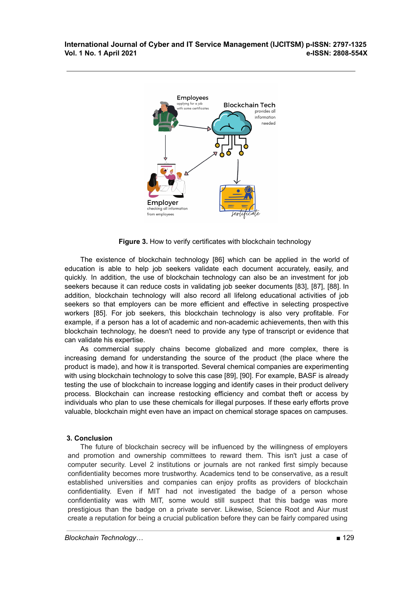

**Figure 3.** How to verify certificates with blockchain technology

The existence of blockchain technology [86] which can be applied in the world of education is able to help job seekers validate each document accurately, easily, and quickly. In addition, the use of blockchain technology can also be an investment for job seekers because it can reduce costs in validating job seeker documents [83], [87], [88]. In addition, blockchain technology will also record all lifelong educational activities of job seekers so that employers can be more efficient and effective in selecting prospective workers [85]. For job seekers, this blockchain technology is also very profitable. For example, if a person has a lot of academic and non-academic achievements, then with this blockchain technology, he doesn't need to provide any type of transcript or evidence that can validate his expertise.

As commercial supply chains become globalized and more complex, there is increasing demand for understanding the source of the product (the place where the product is made), and how it is transported. Several chemical companies are experimenting with using blockchain technology to solve this case [89], [90]. For example, BASF is already testing the use of blockchain to increase logging and identify cases in their product delivery process. Blockchain can increase restocking efficiency and combat theft or access by individuals who plan to use these chemicals for illegal purposes. If these early efforts prove valuable, blockchain might even have an impact on chemical storage spaces on campuses.

## **3. Conclusion**

The future of blockchain secrecy will be influenced by the willingness of employers and promotion and ownership committees to reward them. This isn't just a case of computer security. Level 2 institutions or journals are not ranked first simply because confidentiality becomes more trustworthy. Academics tend to be conservative, as a result established universities and companies can enjoy profits as providers of blockchain confidentiality. Even if MIT had not investigated the badge of a person whose confidentiality was with MIT, some would still suspect that this badge was more prestigious than the badge on a private server. Likewise, Science Root and Aiur must create a reputation for being a crucial publication before they can be fairly compared using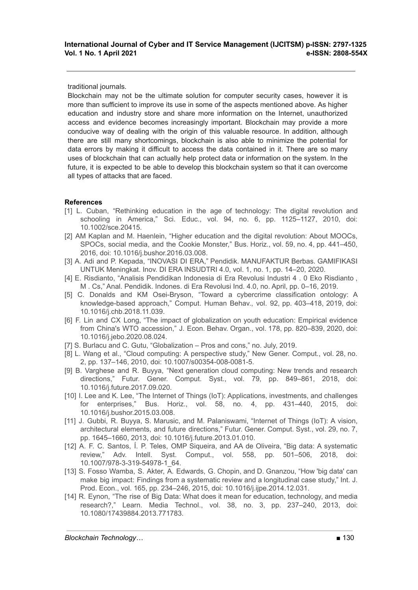traditional journals.

Blockchain may not be the ultimate solution for computer security cases, however it is more than sufficient to improve its use in some of the aspects mentioned above. As higher education and industry store and share more information on the Internet, unauthorized access and evidence becomes increasingly important. Blockchain may provide a more conducive way of dealing with the origin of this valuable resource. In addition, although there are still many shortcomings, blockchain is also able to minimize the potential for data errors by making it difficult to access the data contained in it. There are so many uses of blockchain that can actually help protect data or information on the system. In the future, it is expected to be able to develop this blockchain system so that it can overcome all types of attacks that are faced.

# **References**

- [1] L. Cuban, "Rethinking education in the age of technology: The digital revolution and schooling in America," Sci. Educ., vol. 94, no. 6, pp. 1125–1127, 2010, doi: 10.1002/sce.20415.
- [2] AM Kaplan and M. Haenlein, "Higher education and the digital revolution: About MOOCs, SPOCs, social media, and the Cookie Monster," Bus. Horiz., vol. 59, no. 4, pp. 441–450, 2016, doi: 10.1016/j.bushor.2016.03.008.
- [3] A. Adi and P. Kepada, "INOVASI DI ERA," Pendidik. MANUFAKTUR Berbas. GAMIFIKASI UNTUK Meningkat. Inov. DI ERA INSUDTRI 4.0, vol. 1, no. 1, pp. 14–20, 2020.
- [4] E. Risdianto, "Analisis Pendidikan Indonesia di Era Revolusi Industri 4 . 0 Eko Risdianto , M . Cs," Anal. Pendidik. Indones. di Era Revolusi Ind. 4.0, no. April, pp. 0–16, 2019.
- [5] C. Donalds and KM Osei-Bryson, "Toward a cybercrime classification ontology: A knowledge-based approach," Comput. Human Behav., vol. 92, pp. 403–418, 2019, doi: 10.1016/j.chb.2018.11.039.
- [6] F. Lin and CX Long, "The impact of globalization on youth education: Empirical evidence from China's WTO accession," J. Econ. Behav. Organ., vol. 178, pp. 820–839, 2020, doi: 10.1016/j.jebo.2020.08.024.
- [7] S. Burlacu and C. Gutu, "Globalization Pros and cons," no. July, 2019.
- [8] L. Wang et al., "Cloud computing: A perspective study," New Gener. Comput., vol. 28, no. 2, pp. 137–146, 2010, doi: 10.1007/s00354-008-0081-5.
- [9] B. Varghese and R. Buyya, "Next generation cloud computing: New trends and research directions," Futur. Gener. Comput. Syst., vol. 79, pp. 849–861, 2018, doi: 10.1016/j.future.2017.09.020.
- [10] I. Lee and K. Lee, "The Internet of Things (IoT): Applications, investments, and challenges for enterprises," Bus. Horiz., vol. 58, no. 4, pp. 431–440, 2015, doi: 10.1016/j.bushor.2015.03.008.
- [11] J. Gubbi, R. Buyya, S. Marusic, and M. Palaniswami, "Internet of Things (IoT): A vision, architectural elements, and future directions," Futur. Gener. Comput. Syst., vol. 29, no. 7, pp. 1645–1660, 2013, doi: 10.1016/j.future.2013.01.010.
- [12] A. F. C. Santos, Í. P. Teles, OMP Siqueira, and AA de Oliveira, "Big data: A systematic review," Adv. Intell. Syst. Comput., vol. 558, pp. 501–506, 2018, doi: 10.1007/978-3-319-54978-1\_64.
- [13] S. Fosso Wamba, S. Akter, A. Edwards, G. Chopin, and D. Gnanzou, "How 'big data' can make big impact: Findings from a systematic review and a longitudinal case study," Int. J. Prod. Econ., vol. 165, pp. 234–246, 2015, doi: 10.1016/j.ijpe.2014.12.031.
- [14] R. Eynon, "The rise of Big Data: What does it mean for education, technology, and media research?," Learn. Media Technol., vol. 38, no. 3, pp. 237–240, 2013, doi: 10.1080/17439884.2013.771783.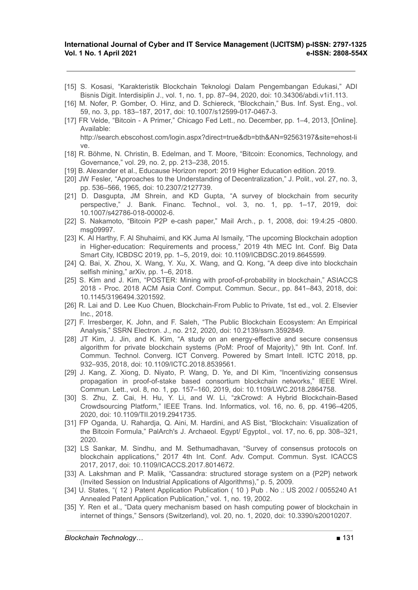- [15] S. Kosasi, "Karakteristik Blockchain Teknologi Dalam Pengembangan Edukasi," ADI Bisnis Digit. Interdisiplin J., vol. 1, no. 1, pp. 87–94, 2020, doi: 10.34306/abdi.v1i1.113.
- [16] M. Nofer, P. Gomber, O. Hinz, and D. Schiereck, "Blockchain," Bus. Inf. Syst. Eng., vol. 59, no. 3, pp. 183–187, 2017, doi: 10.1007/s12599-017-0467-3.
- [17] FR Velde, "Bitcoin A Primer," Chicago Fed Lett., no. December, pp. 1–4, 2013, [Online]. Available: http://search.ebscohost.com/login.aspx?direct=true&db=bth&AN=92563197&site=ehost-li
- ve. [18] R. Böhme, N. Christin, B. Edelman, and T. Moore, "Bitcoin: Economics, Technology, and Governance," vol. 29, no. 2, pp. 213–238, 2015.
- [19] B. Alexander et al., Educause Horizon report: 2019 Higher Education edition. 2019.
- [20] JW Fesler, "Approaches to the Understanding of Decentralization," J. Polit., vol. 27, no. 3, pp. 536–566, 1965, doi: 10.2307/2127739.
- [21] D. Dasgupta, JM Shrein, and KD Gupta, "A survey of blockchain from security perspective," J. Bank. Financ. Technol., vol. 3, no. 1, pp. 1–17, 2019, doi: 10.1007/s42786-018-00002-6.
- [22] S. Nakamoto, "Bitcoin P2P e-cash paper," Mail Arch., p. 1, 2008, doi: 19:4:25 -0800. msg09997.
- [23] K. Al Harthy, F. Al Shuhaimi, and KK Juma Al Ismaily, "The upcoming Blockchain adoption in Higher-education: Requirements and process," 2019 4th MEC Int. Conf. Big Data Smart City, ICBDSC 2019, pp. 1–5, 2019, doi: 10.1109/ICBDSC.2019.8645599.
- [24] Q. Bai, X. Zhou, X. Wang, Y. Xu, X. Wang, and Q. Kong, "A deep dive into blockchain selfish mining," arXiv, pp. 1–6, 2018.
- [25] S. Kim and J. Kim, "POSTER: Mining with proof-of-probability in blockchain," ASIACCS 2018 - Proc. 2018 ACM Asia Conf. Comput. Commun. Secur., pp. 841–843, 2018, doi: 10.1145/3196494.3201592.
- [26] R. Lai and D. Lee Kuo Chuen, Blockchain-From Public to Private, 1st ed., vol. 2. Elsevier Inc., 2018.
- [27] F. Irresberger, K. John, and F. Saleh, "The Public Blockchain Ecosystem: An Empirical Analysis," SSRN Electron. J., no. 212, 2020, doi: 10.2139/ssrn.3592849.
- [28] JT Kim, J. Jin, and K. Kim, "A study on an energy-effective and secure consensus algorithm for private blockchain systems (PoM: Proof of Majority)," 9th Int. Conf. Inf. Commun. Technol. Converg. ICT Converg. Powered by Smart Intell. ICTC 2018, pp. 932–935, 2018, doi: 10.1109/ICTC.2018.8539561.
- [29] J. Kang, Z. Xiong, D. Niyato, P. Wang, D. Ye, and DI Kim, "Incentivizing consensus propagation in proof-of-stake based consortium blockchain networks," IEEE Wirel. Commun. Lett., vol. 8, no. 1, pp. 157–160, 2019, doi: 10.1109/LWC.2018.2864758.
- [30] S. Zhu, Z. Cai, H. Hu, Y. Li, and W. Li, "zkCrowd: A Hybrid Blockchain-Based Crowdsourcing Platform," IEEE Trans. Ind. Informatics, vol. 16, no. 6, pp. 4196–4205, 2020, doi: 10.1109/TII.2019.2941735.
- [31] FP Oganda, U. Rahardja, Q. Aini, M. Hardini, and AS Bist, "Blockchain: Visualization of the Bitcoin Formula," PalArch's J. Archaeol. Egypt/ Egyptol., vol. 17, no. 6, pp. 308–321, 2020.
- [32] LS Sankar, M. Sindhu, and M. Sethumadhavan, "Survey of consensus protocols on blockchain applications," 2017 4th Int. Conf. Adv. Comput. Commun. Syst. ICACCS 2017, 2017, doi: 10.1109/ICACCS.2017.8014672.
- [33] A. Lakshman and P. Malik, "Cassandra: structured storage system on a {P2P} network (Invited Session on Industrial Applications of Algorithms)," p. 5, 2009.
- [34] U. States, "( 12 ) Patent Application Publication ( 10 ) Pub . No .: US 2002 / 0055240 A1 Annealed Patent Application Publication," vol. 1, no. 19, 2002.
- [35] Y. Ren et al., "Data query mechanism based on hash computing power of blockchain in internet of things," Sensors (Switzerland), vol. 20, no. 1, 2020, doi: 10.3390/s20010207.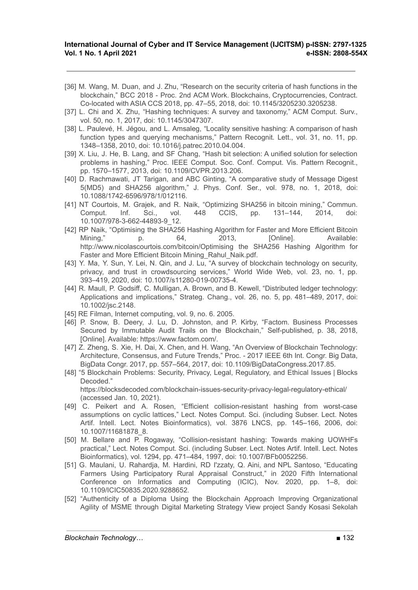- [36] M. Wang, M. Duan, and J. Zhu, "Research on the security criteria of hash functions in the blockchain," BCC 2018 - Proc. 2nd ACM Work. Blockchains, Cryptocurrencies, Contract. Co-located with ASIA CCS 2018, pp. 47–55, 2018, doi: 10.1145/3205230.3205238.
- [37] L. Chi and X. Zhu, "Hashing techniques: A survey and taxonomy," ACM Comput. Surv., vol. 50, no. 1, 2017, doi: 10.1145/3047307.
- [38] L. Paulevé, H. Jégou, and L. Amsaleg, "Locality sensitive hashing: A comparison of hash function types and querying mechanisms," Pattern Recognit. Lett., vol. 31, no. 11, pp. 1348–1358, 2010, doi: 10.1016/j.patrec.2010.04.004.
- [39] X. Liu, J. He, B. Lang, and SF Chang, "Hash bit selection: A unified solution for selection problems in hashing," Proc. IEEE Comput. Soc. Conf. Comput. Vis. Pattern Recognit., pp. 1570–1577, 2013, doi: 10.1109/CVPR.2013.206.
- [40] D. Rachmawati, JT Tarigan, and ABC Ginting, "A comparative study of Message Digest 5(MD5) and SHA256 algorithm," J. Phys. Conf. Ser., vol. 978, no. 1, 2018, doi: 10.1088/1742-6596/978/1/012116.
- [41] NT Courtois, M. Grajek, and R. Naik, "Optimizing SHA256 in bitcoin mining," Commun. Comput. Inf. Sci., vol. 448 CCIS, pp. 131–144, 2014, doi: 10.1007/978-3-662-44893-9\_12.
- [42] RP Naik, "Optimising the SHA256 Hashing Algorithm for Faster and More Efficient Bitcoin Mining," p. 64, 2013, [Online]. Available: http://www.nicolascourtois.com/bitcoin/Optimising the SHA256 Hashing Algorithm for Faster and More Efficient Bitcoin Mining\_Rahul\_Naik.pdf.
- [43] Y. Ma, Y. Sun, Y. Lei, N. Qin, and J. Lu, "A survey of blockchain technology on security, privacy, and trust in crowdsourcing services," World Wide Web, vol. 23, no. 1, pp. 393–419, 2020, doi: 10.1007/s11280-019-00735-4.
- [44] R. Maull, P. Godsiff, C. Mulligan, A. Brown, and B. Kewell, "Distributed ledger technology: Applications and implications," Strateg. Chang., vol. 26, no. 5, pp. 481–489, 2017, doi: 10.1002/jsc.2148.
- [45] RE Filman, Internet computing, vol. 9, no. 6. 2005.
- [46] P. Snow, B. Deery, J. Lu, D. Johnston, and P. Kirby, "Factom. Business Processes Secured by Immutable Audit Trails on the Blockchain," Self-published, p. 38, 2018, [Online]. Available: https://www.factom.com/.
- [47] Z. Zheng, S. Xie, H. Dai, X. Chen, and H. Wang, "An Overview of Blockchain Technology: Architecture, Consensus, and Future Trends," Proc. - 2017 IEEE 6th Int. Congr. Big Data, BigData Congr. 2017, pp. 557–564, 2017, doi: 10.1109/BigDataCongress.2017.85.
- [48] "5 Blockchain Problems: Security, Privacy, Legal, Regulatory, and Ethical Issues | Blocks Decoded." https://blocksdecoded.com/blockchain-issues-security-privacy-legal-regulatory-ethical/ (accessed Jan. 10, 2021).
- [49] C. Peikert and A. Rosen, "Efficient collision-resistant hashing from worst-case assumptions on cyclic lattices," Lect. Notes Comput. Sci. (including Subser. Lect. Notes Artif. Intell. Lect. Notes Bioinformatics), vol. 3876 LNCS, pp. 145–166, 2006, doi: 10.1007/11681878\_8.
- [50] M. Bellare and P. Rogaway, "Collision-resistant hashing: Towards making UOWHFs practical," Lect. Notes Comput. Sci. (including Subser. Lect. Notes Artif. Intell. Lect. Notes Bioinformatics), vol. 1294, pp. 471–484, 1997, doi: 10.1007/BFb0052256.
- [51] G. Maulani, U. Rahardja, M. Hardini, RD I'zzaty, Q. Aini, and NPL Santoso, "Educating Farmers Using Participatory Rural Appraisal Construct," in 2020 Fifth International Conference on Informatics and Computing (ICIC), Nov. 2020, pp. 1–8, doi: 10.1109/ICIC50835.2020.9288652.
- [52] "Authenticity of a Diploma Using the Blockchain Approach Improving Organizational Agility of MSME through Digital Marketing Strategy View project Sandy Kosasi Sekolah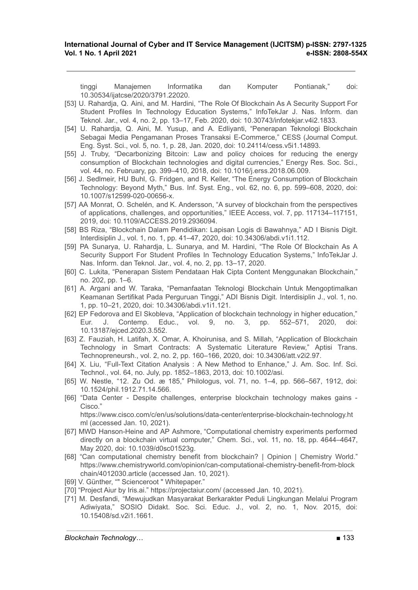tinggi Manajemen Informatika dan Komputer Pontianak," doi: 10.30534/ijatcse/2020/3791.22020.

- [53] U. Rahardja, Q. Aini, and M. Hardini, "The Role Of Blockchain As A Security Support For Student Profiles In Technology Education Systems," InfoTekJar J. Nas. Inform. dan Teknol. Jar., vol. 4, no. 2, pp. 13–17, Feb. 2020, doi: 10.30743/infotekjar.v4i2.1833.
- [54] U. Rahardja, Q. Aini, M. Yusup, and A. Edliyanti, "Penerapan Teknologi Blockchain Sebagai Media Pengamanan Proses Transaksi E-Commerce," CESS (Journal Comput. Eng. Syst. Sci., vol. 5, no. 1, p. 28, Jan. 2020, doi: 10.24114/cess.v5i1.14893.
- [55] J. Truby, "Decarbonizing Bitcoin: Law and policy choices for reducing the energy consumption of Blockchain technologies and digital currencies," Energy Res. Soc. Sci., vol. 44, no. February, pp. 399–410, 2018, doi: 10.1016/j.erss.2018.06.009.
- [56] J. Sedlmeir, HU Buhl, G. Fridgen, and R. Keller, "The Energy Consumption of Blockchain Technology: Beyond Myth," Bus. Inf. Syst. Eng., vol. 62, no. 6, pp. 599–608, 2020, doi: 10.1007/s12599-020-00656-x.
- [57] AA Monrat, O. Schelén, and K. Andersson, "A survey of blockchain from the perspectives of applications, challenges, and opportunities," IEEE Access, vol. 7, pp. 117134–117151, 2019, doi: 10.1109/ACCESS.2019.2936094.
- [58] BS Riza, "Blockchain Dalam Pendidikan: Lapisan Logis di Bawahnya," AD I Bisnis Digit. Interdisiplin J., vol. 1, no. 1, pp. 41–47, 2020, doi: 10.34306/abdi.v1i1.112.
- [59] PA Sunarya, U. Rahardja, L. Sunarya, and M. Hardini, "The Role Of Blockchain As A Security Support For Student Profiles In Technology Education Systems," InfoTekJar J. Nas. Inform. dan Teknol. Jar., vol. 4, no. 2, pp. 13–17, 2020.
- [60] C. Lukita, "Penerapan Sistem Pendataan Hak Cipta Content Menggunakan Blockchain," no. 202, pp. 1–6.
- [61] A. Argani and W. Taraka, "Pemanfaatan Teknologi Blockchain Untuk Mengoptimalkan Keamanan Sertifikat Pada Perguruan Tinggi," ADI Bisnis Digit. Interdisiplin J., vol. 1, no. 1, pp. 10–21, 2020, doi: 10.34306/abdi.v1i1.121.
- [62] EP Fedorova and EI Skobleva, "Application of blockchain technology in higher education," Eur. J. Contemp. Educ., vol. 9, no. 3, pp. 552–571, 2020, 10.13187/ejced.2020.3.552.
- [63] Z. Fauziah, H. Latifah, X. Omar, A. Khoirunisa, and S. Millah, "Application of Blockchain Technology in Smart Contracts: A Systematic Literature Review," Aptisi Trans. Technopreneursh., vol. 2, no. 2, pp. 160–166, 2020, doi: 10.34306/att.v2i2.97.
- [64] X. Liu, "Full-Text Citation Analysis : A New Method to Enhance," J. Am. Soc. Inf. Sci. Technol., vol. 64, no. July, pp. 1852–1863, 2013, doi: 10.1002/asi.
- [65] W. Nestle, "12. Zu Od. æ 185," Philologus, vol. 71, no. 1–4, pp. 566–567, 1912, doi: 10.1524/phil.1912.71.14.566.
- [66] "Data Center Despite challenges, enterprise blockchain technology makes gains Cisco." https://www.cisco.com/c/en/us/solutions/data-center/enterprise-blockchain-technology.ht
- ml (accessed Jan. 10, 2021). [67] MWD Hanson-Heine and AP Ashmore, "Computational chemistry experiments performed directly on a blockchain virtual computer," Chem. Sci., vol. 11, no. 18, pp. 4644–4647,
- May 2020, doi: 10.1039/d0sc01523g. [68] "Can computational chemistry benefit from blockchain? | Opinion | Chemistry World." https://www.chemistryworld.com/opinion/can-computational-chemistry-benefit-from-block chain/4012030.article (accessed Jan. 10, 2021).
- [69] V. Günther, "" Scienceroot " Whitepaper."
- [70] "Project Aiur by Iris.ai." https://projectaiur.com/ (accessed Jan. 10, 2021).
- [71] M. Desfandi, "Mewujudkan Masyarakat Berkarakter Peduli Lingkungan Melalui Program Adiwiyata," SOSIO Didakt. Soc. Sci. Educ. J., vol. 2, no. 1, Nov. 2015, doi: 10.15408/sd.v2i1.1661.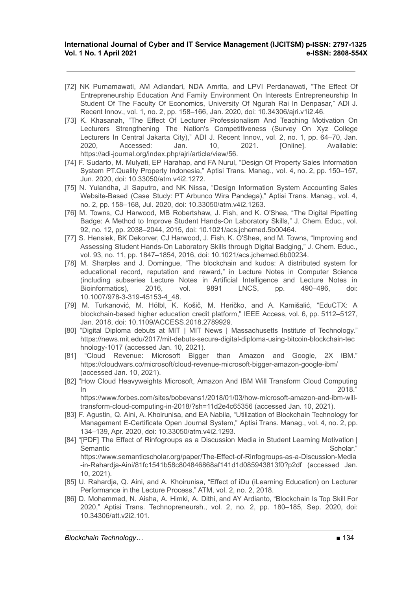- [72] NK Purnamawati, AM Adiandari, NDA Amrita, and LPVI Perdanawati, "The Effect Of Entrepreneurship Education And Family Environment On Interests Entrepreneurship In Student Of The Faculty Of Economics, University Of Ngurah Rai In Denpasar," ADI J. Recent Innov., vol. 1, no. 2, pp. 158–166, Jan. 2020, doi: 10.34306/ajri.v1i2.46.
- [73] K. Khasanah, "The Effect Of Lecturer Professionalism And Teaching Motivation On Lecturers Strengthening The Nation's Competitiveness (Survey On Xyz College Lecturers In Central Jakarta City)," ADI J. Recent Innov., vol. 2, no. 1, pp. 64–70, Jan. 2020, Accessed: Jan. 10, 2021. [Online]. Available: https://adi-journal.org/index.php/ajri/article/view/56.
- [74] F. Sudarto, M. Mulyati, EP Harahap, and FA Nurul, "Design Of Property Sales Information System PT.Quality Property Indonesia," Aptisi Trans. Manag., vol. 4, no. 2, pp. 150–157, Jun. 2020, doi: 10.33050/atm.v4i2.1272.
- [75] N. Yulandha, JI Saputro, and NK Nissa, "Design Information System Accounting Sales Website-Based (Case Study: PT Arbunco Wira Pandega)," Aptisi Trans. Manag., vol. 4, no. 2, pp. 158–168, Jul. 2020, doi: 10.33050/atm.v4i2.1263.
- [76] M. Towns, CJ Harwood, MB Robertshaw, J. Fish, and K. O'Shea, "The Digital Pipetting Badge: A Method to Improve Student Hands-On Laboratory Skills," J. Chem. Educ., vol. 92, no. 12, pp. 2038–2044, 2015, doi: 10.1021/acs.jchemed.5b00464.
- [77] S. Hensiek, BK Dekorver, CJ Harwood, J. Fish, K. O'Shea, and M. Towns, "Improving and Assessing Student Hands-On Laboratory Skills through Digital Badging," J. Chem. Educ., vol. 93, no. 11, pp. 1847–1854, 2016, doi: 10.1021/acs.jchemed.6b00234.
- [78] M. Sharples and J. Domingue, "The blockchain and kudos: A distributed system for educational record, reputation and reward," in Lecture Notes in Computer Science (including subseries Lecture Notes in Artificial Intelligence and Lecture Notes in Bioinformatics), 2016, vol. 9891 LNCS, pp. 490–496, doi: 10.1007/978-3-319-45153-4\_48.
- [79] M. Turkanović, M. Hölbl, K. Košič, M. Heričko, and A. Kamišalić, "EduCTX: A blockchain-based higher education credit platform," IEEE Access, vol. 6, pp. 5112–5127, Jan. 2018, doi: 10.1109/ACCESS.2018.2789929.
- [80] "Digital Diploma debuts at MIT | MIT News | Massachusetts Institute of Technology." https://news.mit.edu/2017/mit-debuts-secure-digital-diploma-using-bitcoin-blockchain-tec hnology-1017 (accessed Jan. 10, 2021).
- [81] "Cloud Revenue: Microsoft Bigger than Amazon and Google, 2X IBM." https://cloudwars.co/microsoft/cloud-revenue-microsoft-bigger-amazon-google-ibm/ (accessed Jan. 10, 2021).
- [82] "How Cloud Heavyweights Microsoft, Amazon And IBM Will Transform Cloud Computing  $\ln$

https://www.forbes.com/sites/bobevans1/2018/01/03/how-microsoft-amazon-and-ibm-willtransform-cloud-computing-in-2018/?sh=11d2e4c65356 (accessed Jan. 10, 2021).

- [83] F. Agustin, Q. Aini, A. Khoirunisa, and EA Nabila, "Utilization of Blockchain Technology for Management E-Certificate Open Journal System," Aptisi Trans. Manag., vol. 4, no. 2, pp. 134–139, Apr. 2020, doi: 10.33050/atm.v4i2.1293.
- [84] "[PDF] The Effect of Rinfogroups as a Discussion Media in Student Learning Motivation | Semantic **Semantic** Scholar." **Scholare Scholare Scholare Scholare Scholare Scholare Scholare Scholare Scholare Scholare Scholare Scholare Scholare Scholare Scholare Scholare Scholare Scholare Scholare Scholare Scholare Sc** https://www.semanticscholar.org/paper/The-Effect-of-Rinfogroups-as-a-Discussion-Media -in-Rahardja-Aini/81fc1541b58c804846868af141d1d085943813f0?p2df (accessed Jan. 10, 2021).
- [85] U. Rahardja, Q. Aini, and A. Khoirunisa, "Effect of iDu (iLearning Education) on Lecturer Performance in the Lecture Process," ATM, vol. 2, no. 2, 2018.
- [86] D. Mohammed, N. Aisha, A. Himki, A. Dithi, and AY Ardianto, "Blockchain Is Top Skill For 2020," Aptisi Trans. Technopreneursh., vol. 2, no. 2, pp. 180–185, Sep. 2020, doi: 10.34306/att.v2i2.101.